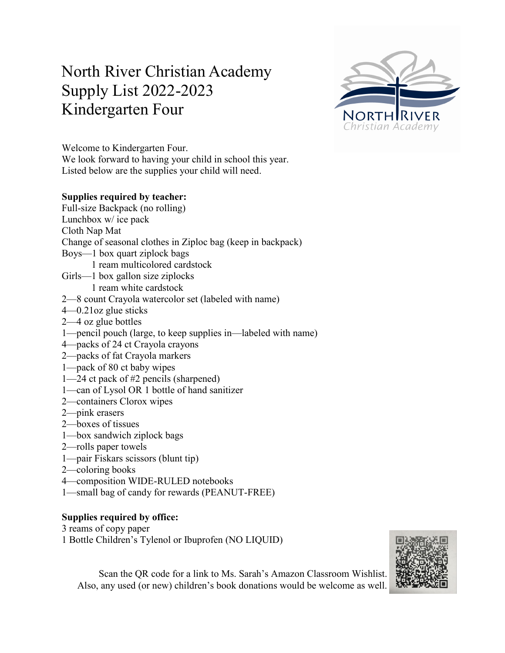# North River Christian Academy Supply List 2022-2023 Kindergarten Four



Welcome to Kindergarten Four.

We look forward to having your child in school this year. Listed below are the supplies your child will need.

# **Supplies required by teacher:**

Full-size Backpack (no rolling) Lunchbox w/ ice pack Cloth Nap Mat Change of seasonal clothes in Ziploc bag (keep in backpack) Boys—1 box quart ziplock bags 1 ream multicolored cardstock Girls—1 box gallon size ziplocks 1 ream white cardstock 2—8 count Crayola watercolor set (labeled with name) 4—0.21oz glue sticks 2—4 oz glue bottles 1—pencil pouch (large, to keep supplies in—labeled with name) 4—packs of 24 ct Crayola crayons 2—packs of fat Crayola markers 1—pack of 80 ct baby wipes 1—24 ct pack of #2 pencils (sharpened) 1—can of Lysol OR 1 bottle of hand sanitizer

- 2—containers Clorox wipes
- 2—pink erasers
- 2—boxes of tissues
- 1—box sandwich ziplock bags
- 2—rolls paper towels
- 1—pair Fiskars scissors (blunt tip)
- 2—coloring books
- 4—composition WIDE-RULED notebooks
- 1—small bag of candy for rewards (PEANUT-FREE)

# **Supplies required by office:**

3 reams of copy paper

1 Bottle Children's Tylenol or Ibuprofen (NO LIQUID)



Scan the QR code for a link to Ms. Sarah's Amazon Classroom Wishlist. Also, any used (or new) children's book donations would be welcome as well.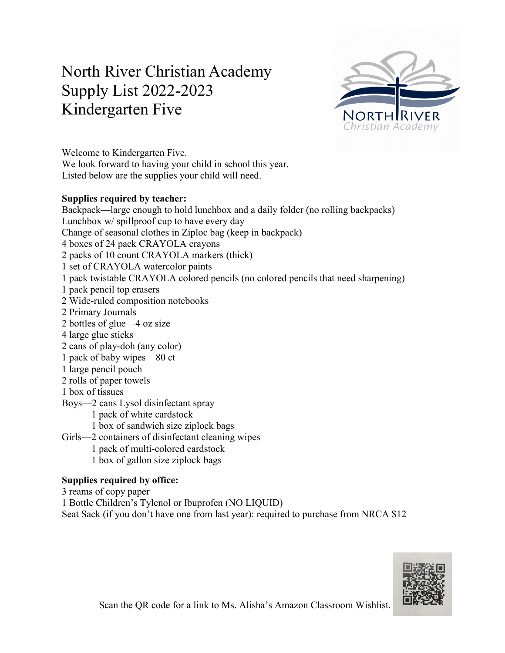# North River Christian Academy Supply List 2022-2023 Kindergarten Five



Welcome to Kindergarten Five. We look forward to having your child in school this year. Listed below are the supplies your child will need.

# **Supplies required by teacher:**

Backpack—large enough to hold lunchbox and a daily folder (no rolling backpacks) Lunchbox w/ spillproof cup to have every day Change of seasonal clothes in Ziploc bag (keep in backpack) 4 boxes of 24 pack CRAYOLA crayons 2 packs of 10 count CRAYOLA markers (thick) 1 set of CRAYOLA watercolor paints 1 pack twistable CRAYOLA colored pencils (no colored pencils that need sharpening) 1 pack pencil top erasers 2 Wide-ruled composition notebooks 2 Primary Journals 2 bottles of glue—4 oz size 4 large glue sticks 2 cans of play-doh (any color) 1 pack of baby wipes—80 ct 1 large pencil pouch 2 rolls of paper towels 1 box of tissues Boys—2 cans Lysol disinfectant spray 1 pack of white cardstock 1 box of sandwich size ziplock bags Girls—2 containers of disinfectant cleaning wipes 1 pack of multi-colored cardstock 1 box of gallon size ziplock bags

# **Supplies required by office:**

3 reams of copy paper 1 Bottle Children's Tylenol or Ibuprofen (NO LIQUID) Seat Sack (if you don't have one from last year): required to purchase from NRCA \$12

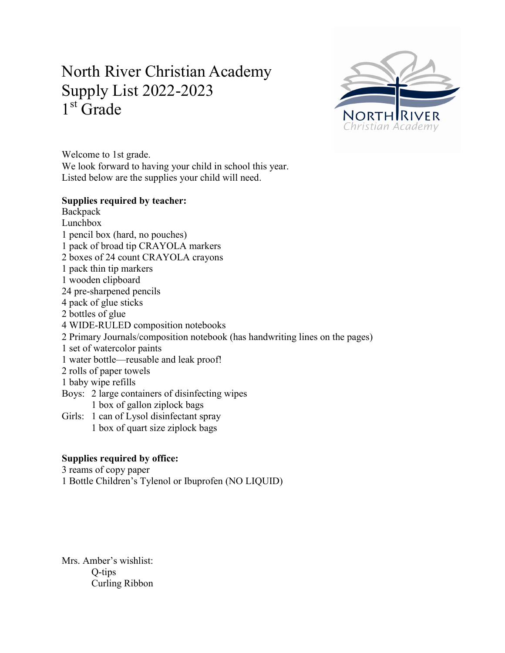# North River Christian Academy Supply List 2022-2023 1<sup>st</sup> Grade



Welcome to 1st grade. We look forward to having your child in school this year. Listed below are the supplies your child will need.

# **Supplies required by teacher:**

**Backpack** Lunchbox 1 pencil box (hard, no pouches) 1 pack of broad tip CRAYOLA markers 2 boxes of 24 count CRAYOLA crayons 1 pack thin tip markers 1 wooden clipboard 24 pre-sharpened pencils 4 pack of glue sticks 2 bottles of glue 4 WIDE-RULED composition notebooks 2 Primary Journals/composition notebook (has handwriting lines on the pages) 1 set of watercolor paints 1 water bottle—reusable and leak proof! 2 rolls of paper towels 1 baby wipe refills Boys: 2 large containers of disinfecting wipes 1 box of gallon ziplock bags Girls: 1 can of Lysol disinfectant spray 1 box of quart size ziplock bags

# **Supplies required by office:**

3 reams of copy paper

1 Bottle Children's Tylenol or Ibuprofen (NO LIQUID)

Mrs. Amber's wishlist: Q-tips Curling Ribbon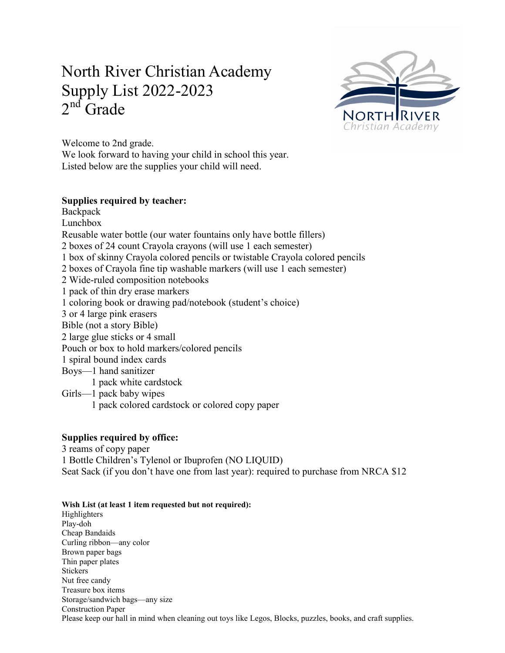# North River Christian Academy Supply List 2022-2023  $2<sup>nd</sup>$  Grade



Welcome to 2nd grade.

We look forward to having your child in school this year. Listed below are the supplies your child will need.

# **Supplies required by teacher:**

**Backpack** Lunchbox Reusable water bottle (our water fountains only have bottle fillers) 2 boxes of 24 count Crayola crayons (will use 1 each semester) 1 box of skinny Crayola colored pencils or twistable Crayola colored pencils 2 boxes of Crayola fine tip washable markers (will use 1 each semester) 2 Wide-ruled composition notebooks 1 pack of thin dry erase markers 1 coloring book or drawing pad/notebook (student's choice) 3 or 4 large pink erasers Bible (not a story Bible) 2 large glue sticks or 4 small Pouch or box to hold markers/colored pencils 1 spiral bound index cards Boys—1 hand sanitizer 1 pack white cardstock Girls—1 pack baby wipes 1 pack colored cardstock or colored copy paper

# **Supplies required by office:**

3 reams of copy paper 1 Bottle Children's Tylenol or Ibuprofen (NO LIQUID) Seat Sack (if you don't have one from last year): required to purchase from NRCA \$12

### **Wish List (at least 1 item requested but not required):**

Highlighters Play-doh Cheap Bandaids Curling ribbon—any color Brown paper bags Thin paper plates Stickers Nut free candy Treasure box items Storage/sandwich bags—any size Construction Paper Please keep our hall in mind when cleaning out toys like Legos, Blocks, puzzles, books, and craft supplies.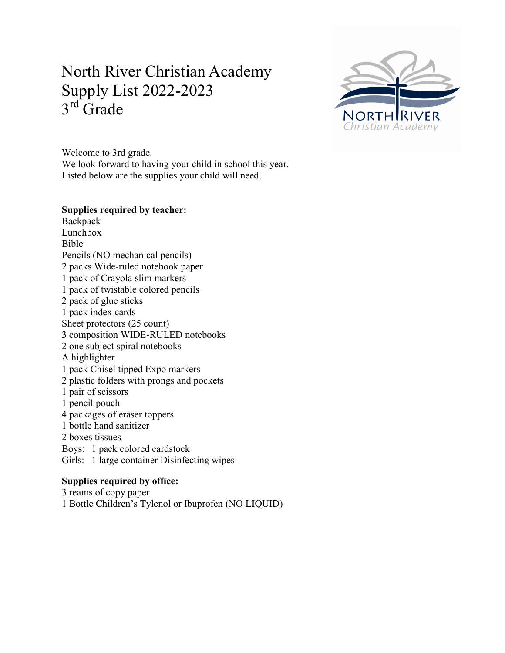# North River Christian Academy Supply List 2022-2023  $3<sup>rd</sup>$  Grade



Welcome to 3rd grade. We look forward to having your child in school this year. Listed below are the supplies your child will need.

## **Supplies required by teacher:**

Backpack Lunchbox Bible Pencils (NO mechanical pencils) 2 packs Wide-ruled notebook paper 1 pack of Crayola slim markers 1 pack of twistable colored pencils 2 pack of glue sticks 1 pack index cards Sheet protectors (25 count) 3 composition WIDE-RULED notebooks 2 one subject spiral notebooks A highlighter 1 pack Chisel tipped Expo markers 2 plastic folders with prongs and pockets 1 pair of scissors 1 pencil pouch 4 packages of eraser toppers 1 bottle hand sanitizer 2 boxes tissues Boys: 1 pack colored cardstock Girls: 1 large container Disinfecting wipes

# **Supplies required by office:**

3 reams of copy paper 1 Bottle Children's Tylenol or Ibuprofen (NO LIQUID)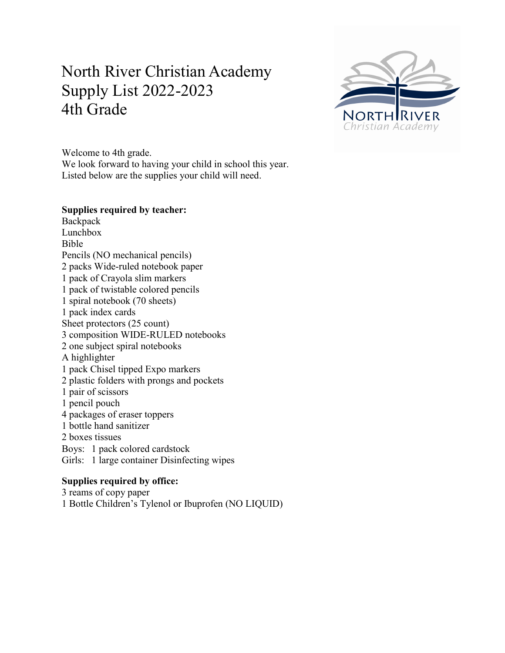# North River Christian Academy Supply List 2022-2023 4th Grade



Welcome to 4th grade. We look forward to having your child in school this year. Listed below are the supplies your child will need.

### **Supplies required by teacher:**

Backpack Lunchbox Bible Pencils (NO mechanical pencils) 2 packs Wide-ruled notebook paper 1 pack of Crayola slim markers 1 pack of twistable colored pencils 1 spiral notebook (70 sheets) 1 pack index cards Sheet protectors (25 count) 3 composition WIDE-RULED notebooks 2 one subject spiral notebooks A highlighter 1 pack Chisel tipped Expo markers 2 plastic folders with prongs and pockets 1 pair of scissors 1 pencil pouch 4 packages of eraser toppers 1 bottle hand sanitizer 2 boxes tissues Boys: 1 pack colored cardstock Girls: 1 large container Disinfecting wipes

### **Supplies required by office:**

3 reams of copy paper 1 Bottle Children's Tylenol or Ibuprofen (NO LIQUID)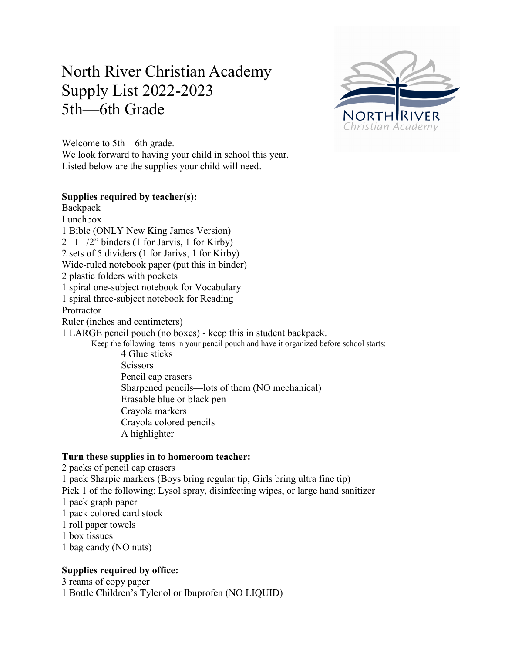# North River Christian Academy Supply List 2022-2023 5th—6th Grade



Welcome to 5th—6th grade. We look forward to having your child in school this year. Listed below are the supplies your child will need.

# **Supplies required by teacher(s):**

**Backpack** Lunchbox 1 Bible (ONLY New King James Version) 2 1 1/2" binders (1 for Jarvis, 1 for Kirby) 2 sets of 5 dividers (1 for Jarivs, 1 for Kirby) Wide-ruled notebook paper (put this in binder) 2 plastic folders with pockets 1 spiral one-subject notebook for Vocabulary 1 spiral three-subject notebook for Reading Protractor Ruler (inches and centimeters) 1 LARGE pencil pouch (no boxes) - keep this in student backpack. Keep the following items in your pencil pouch and have it organized before school starts: 4 Glue sticks **Scissors** Pencil cap erasers Sharpened pencils—lots of them (NO mechanical) Erasable blue or black pen Crayola markers Crayola colored pencils

# **Turn these supplies in to homeroom teacher:**

A highlighter

2 packs of pencil cap erasers 1 pack Sharpie markers (Boys bring regular tip, Girls bring ultra fine tip) Pick 1 of the following: Lysol spray, disinfecting wipes, or large hand sanitizer 1 pack graph paper 1 pack colored card stock 1 roll paper towels 1 box tissues

# 1 bag candy (NO nuts)

# **Supplies required by office:**

3 reams of copy paper 1 Bottle Children's Tylenol or Ibuprofen (NO LIQUID)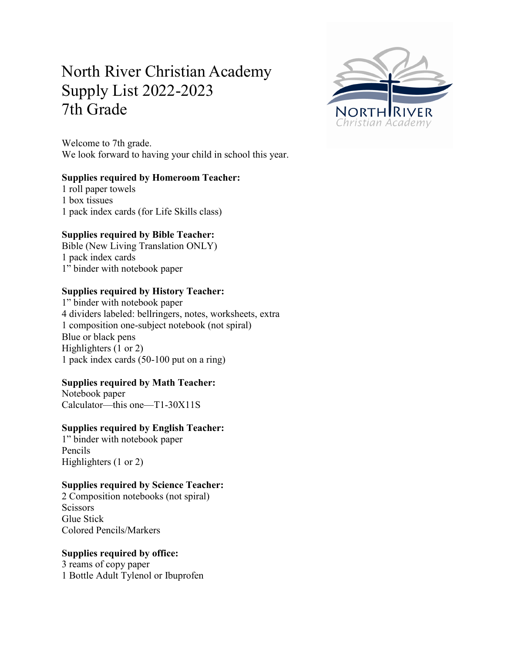# North River Christian Academy Supply List 2022-2023 7th Grade

Welcome to 7th grade. We look forward to having your child in school this year.

### **Supplies required by Homeroom Teacher:**

1 roll paper towels 1 box tissues 1 pack index cards (for Life Skills class)

# **Supplies required by Bible Teacher:**

Bible (New Living Translation ONLY) 1 pack index cards 1" binder with notebook paper

### **Supplies required by History Teacher:**

1" binder with notebook paper 4 dividers labeled: bellringers, notes, worksheets, extra 1 composition one-subject notebook (not spiral) Blue or black pens Highlighters (1 or 2) 1 pack index cards (50-100 put on a ring)

# **Supplies required by Math Teacher:**

Notebook paper Calculator—this one—T1-30X11S

# **Supplies required by English Teacher:**

1" binder with notebook paper Pencils Highlighters (1 or 2)

### **Supplies required by Science Teacher:**

2 Composition notebooks (not spiral) Scissors Glue Stick Colored Pencils/Markers

# **Supplies required by office:**

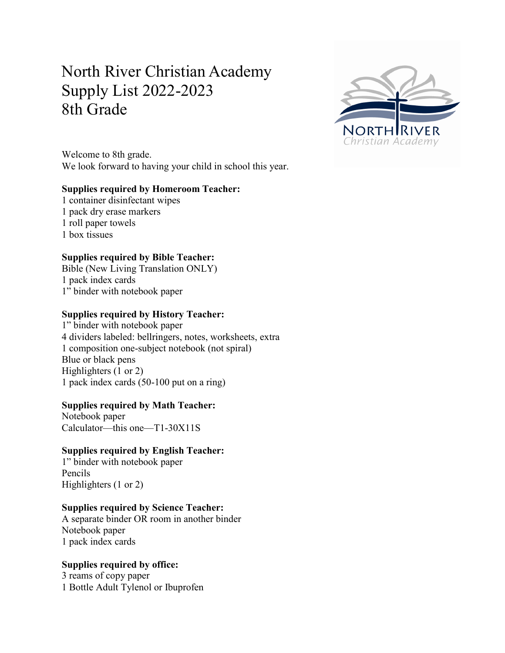# North River Christian Academy Supply List 2022-2023 8th Grade



Welcome to 8th grade. We look forward to having your child in school this year.

# **Supplies required by Homeroom Teacher:**

1 container disinfectant wipes 1 pack dry erase markers 1 roll paper towels 1 box tissues

# **Supplies required by Bible Teacher:**

Bible (New Living Translation ONLY) 1 pack index cards 1" binder with notebook paper

### **Supplies required by History Teacher:**

1" binder with notebook paper 4 dividers labeled: bellringers, notes, worksheets, extra 1 composition one-subject notebook (not spiral) Blue or black pens Highlighters (1 or 2) 1 pack index cards (50-100 put on a ring)

### **Supplies required by Math Teacher:**

Notebook paper Calculator—this one—T1-30X11S

# **Supplies required by English Teacher:**

1" binder with notebook paper Pencils Highlighters (1 or 2)

# **Supplies required by Science Teacher:**

A separate binder OR room in another binder Notebook paper 1 pack index cards

# **Supplies required by office:**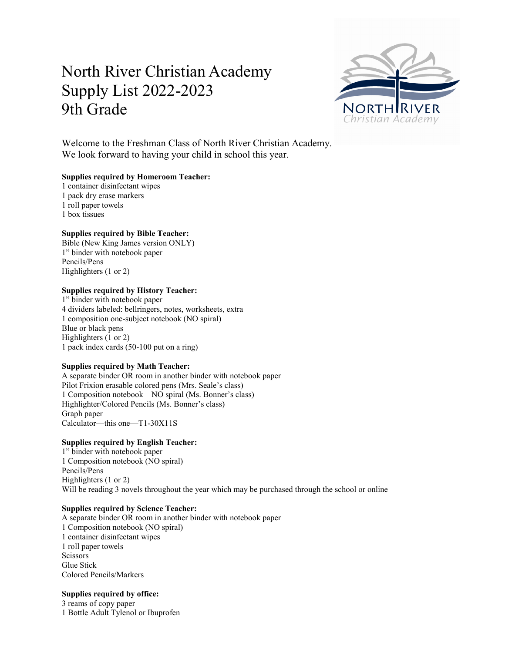# North River Christian Academy Supply List 2022-2023 9th Grade



Welcome to the Freshman Class of North River Christian Academy. We look forward to having your child in school this year.

#### **Supplies required by Homeroom Teacher:**

1 container disinfectant wipes 1 pack dry erase markers

1 roll paper towels

1 box tissues

#### **Supplies required by Bible Teacher:**

Bible (New King James version ONLY) 1" binder with notebook paper Pencils/Pens Highlighters (1 or 2)

#### **Supplies required by History Teacher:**

1" binder with notebook paper 4 dividers labeled: bellringers, notes, worksheets, extra 1 composition one-subject notebook (NO spiral) Blue or black pens Highlighters (1 or 2) 1 pack index cards (50-100 put on a ring)

#### **Supplies required by Math Teacher:**

A separate binder OR room in another binder with notebook paper Pilot Frixion erasable colored pens (Mrs. Seale's class) 1 Composition notebook—NO spiral (Ms. Bonner's class) Highlighter/Colored Pencils (Ms. Bonner's class) Graph paper Calculator—this one—T1-30X11S

### **Supplies required by English Teacher:**

1" binder with notebook paper 1 Composition notebook (NO spiral) Pencils/Pens Highlighters (1 or 2) Will be reading 3 novels throughout the year which may be purchased through the school or online

#### **Supplies required by Science Teacher:**

A separate binder OR room in another binder with notebook paper 1 Composition notebook (NO spiral) 1 container disinfectant wipes 1 roll paper towels **Scissors** Glue Stick Colored Pencils/Markers

### **Supplies required by office:**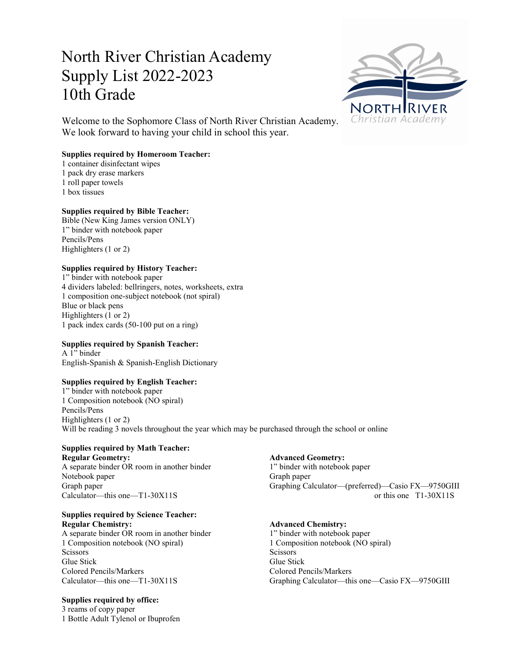# North River Christian Academy Supply List 2022-2023 10th Grade



Welcome to the Sophomore Class of North River Christian Academy. We look forward to having your child in school this year.

### **Supplies required by Homeroom Teacher:**

1 container disinfectant wipes

- 1 pack dry erase markers
- 1 roll paper towels
- 1 box tissues

### **Supplies required by Bible Teacher:**

Bible (New King James version ONLY) 1" binder with notebook paper Pencils/Pens Highlighters (1 or 2)

### **Supplies required by History Teacher:**

1" binder with notebook paper 4 dividers labeled: bellringers, notes, worksheets, extra 1 composition one-subject notebook (not spiral) Blue or black pens Highlighters (1 or 2) 1 pack index cards (50-100 put on a ring)

### **Supplies required by Spanish Teacher:**

A 1" binder English-Spanish & Spanish-English Dictionary

### **Supplies required by English Teacher:**

1" binder with notebook paper 1 Composition notebook (NO spiral) Pencils/Pens Highlighters (1 or 2) Will be reading 3 novels throughout the year which may be purchased through the school or online

# **Supplies required by Math Teacher:**

**Regular Geometry: Advanced Geometry:** A separate binder OR room in another binder 1" binder with notebook paper Notebook paper Graph paper

#### **Supplies required by Science Teacher: Regular Chemistry: Advanced Chemistry:**

A separate binder OR room in another binder 1" binder with notebook paper 1 Composition notebook (NO spiral) 1 Composition notebook (NO spiral) Scissors Scissors Scissors Scissors Scissors Scissors Scissors Scissors Scissors Scissors Scissors Scissors Scissors Scissors Scissors Scissors Scissors Scissors Scissors Scissors Scissors Scissors Scissors Scissors Scisso Glue Stick Glue Stick Colored Pencils/Markers Colored Pencils/Markers

### **Supplies required by office:**

3 reams of copy paper 1 Bottle Adult Tylenol or Ibuprofen

Graph paper Graphing Calculator—(preferred)—Casio FX—9750GIII Calculator—this one—T1-30X11S or this one T1-30X11S

Calculator—this one—T1-30X11S Graphing Calculator—this one—Casio FX—9750GIII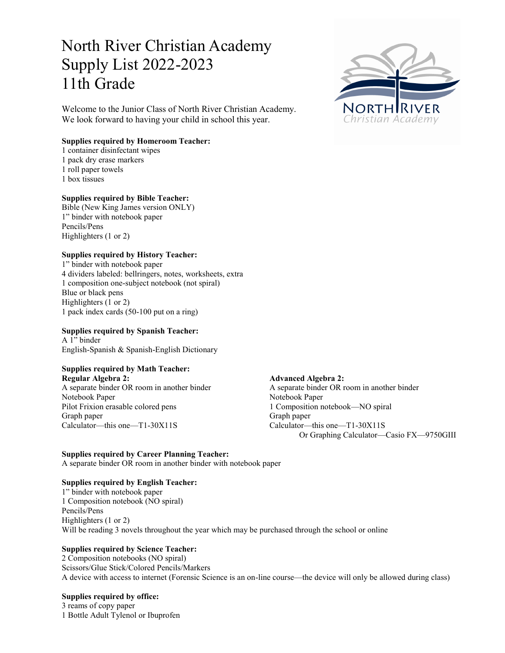# North River Christian Academy Supply List 2022-2023 11th Grade

Welcome to the Junior Class of North River Christian Academy. We look forward to having your child in school this year.

#### **Supplies required by Homeroom Teacher:**

- 1 container disinfectant wipes
- 1 pack dry erase markers
- 1 roll paper towels
- 1 box tissues

#### **Supplies required by Bible Teacher:**

Bible (New King James version ONLY) 1" binder with notebook paper Pencils/Pens Highlighters (1 or 2)

#### **Supplies required by History Teacher:**

1" binder with notebook paper 4 dividers labeled: bellringers, notes, worksheets, extra 1 composition one-subject notebook (not spiral) Blue or black pens Highlighters (1 or 2) 1 pack index cards (50-100 put on a ring)

### **Supplies required by Spanish Teacher:**

A 1" binder English-Spanish & Spanish-English Dictionary

# **Supplies required by Math Teacher:**

**Regular Algebra 2: Advanced Algebra 2:** Notebook Paper Notebook Paper Pilot Frixion erasable colored pens 1 Composition notebook—NO spiral Graph paper Graph paper Calculator—this one—T1-30X11S Calculator—this one—T1-30X11S

A separate binder OR room in another binder A separate binder OR room in another binder Or Graphing Calculator—Casio FX—9750GIII

#### **Supplies required by Career Planning Teacher:**

A separate binder OR room in another binder with notebook paper

#### **Supplies required by English Teacher:**

1" binder with notebook paper 1 Composition notebook (NO spiral) Pencils/Pens Highlighters (1 or 2) Will be reading 3 novels throughout the year which may be purchased through the school or online

### **Supplies required by Science Teacher:**

2 Composition notebooks (NO spiral) Scissors/Glue Stick/Colored Pencils/Markers A device with access to internet (Forensic Science is an on-line course—the device will only be allowed during class)

#### **Supplies required by office:**